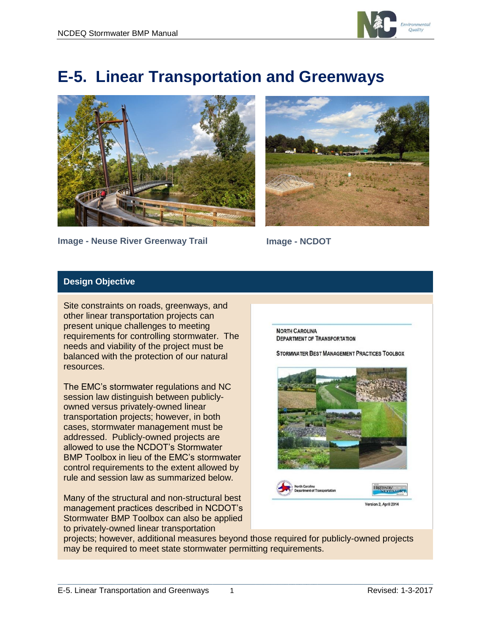

# **E-5. Linear Transportation and Greenways**



**Image - Neuse River Greenway Trail**



**Image - NCDOT**

### **Design Objective**

Site constraints on roads, greenways, and other linear transportation projects can present unique challenges to meeting requirements for controlling stormwater. The needs and viability of the project must be balanced with the protection of our natural resources.

The EMC's stormwater regulations and NC session law distinguish between publiclyowned versus privately-owned linear transportation projects; however, in both cases, stormwater management must be addressed. Publicly-owned projects are allowed to use the NCDOT's Stormwater BMP Toolbox in lieu of the EMC's stormwater control requirements to the extent allowed by rule and session law as summarized below.

Many of the structural and non-structural best management practices described in NCDOT's Stormwater BMP Toolbox can also be applied to privately-owned linear transportation

**NORTH CAROLINA DEPARTMENT OF TRANSPORTATION** 

STORMWATER BEST MANAGEMENT PRACTICES TOOLBOX



projects; however, additional measures beyond those required for publicly-owned projects may be required to meet state stormwater permitting requirements.

 $\mathcal{L}_\mathcal{L} = \{ \mathcal{L}_\mathcal{L} = \{ \mathcal{L}_\mathcal{L} = \{ \mathcal{L}_\mathcal{L} = \{ \mathcal{L}_\mathcal{L} = \{ \mathcal{L}_\mathcal{L} = \{ \mathcal{L}_\mathcal{L} = \{ \mathcal{L}_\mathcal{L} = \{ \mathcal{L}_\mathcal{L} = \{ \mathcal{L}_\mathcal{L} = \{ \mathcal{L}_\mathcal{L} = \{ \mathcal{L}_\mathcal{L} = \{ \mathcal{L}_\mathcal{L} = \{ \mathcal{L}_\mathcal{L} = \{ \mathcal{L}_\mathcal{$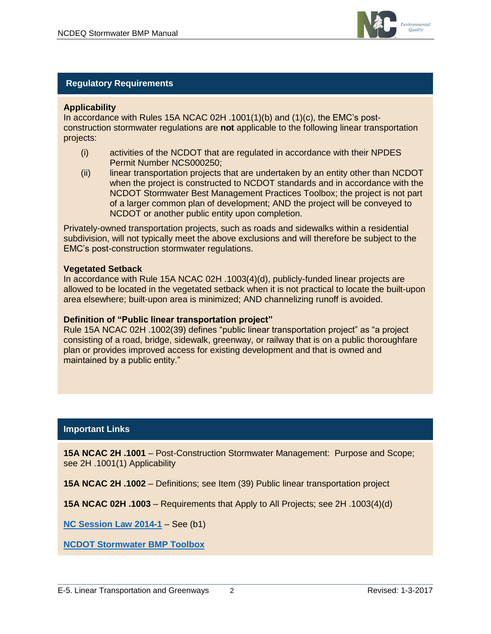

#### **Regulatory Requirements**

#### **Applicability**

In accordance with Rules 15A NCAC 02H .1001(1)(b) and (1)(c), the EMC's postconstruction stormwater regulations are **not** applicable to the following linear transportation projects:

- (i) activities of the NCDOT that are regulated in accordance with their NPDES Permit Number NCS000250;
- (ii) linear transportation projects that are undertaken by an entity other than NCDOT when the project is constructed to NCDOT standards and in accordance with the NCDOT Stormwater Best Management Practices Toolbox; the project is not part of a larger common plan of development; AND the project will be conveyed to NCDOT or another public entity upon completion.

Privately-owned transportation projects, such as roads and sidewalks within a residential subdivision, will not typically meet the above exclusions and will therefore be subject to the EMC's post-construction stormwater regulations.

#### **Vegetated Setback**

In accordance with Rule 15A NCAC 02H .1003(4)(d), publicly-funded linear projects are allowed to be located in the vegetated setback when it is not practical to locate the built-upon area elsewhere; built-upon area is minimized; AND channelizing runoff is avoided.

#### **Definition of "Public linear transportation project"**

Rule 15A NCAC 02H .1002(39) defines "public linear transportation project" as "a project consisting of a road, bridge, sidewalk, greenway, or railway that is on a public thoroughfare plan or provides improved access for existing development and that is owned and maintained by a public entity."

#### **Important Links**

**15A NCAC 2H .1001** – Post-Construction Stormwater Management: Purpose and Scope; see 2H .1001(1) Applicability

 $\mathcal{L}_\mathcal{L} = \{ \mathcal{L}_\mathcal{L} = \{ \mathcal{L}_\mathcal{L} = \{ \mathcal{L}_\mathcal{L} = \{ \mathcal{L}_\mathcal{L} = \{ \mathcal{L}_\mathcal{L} = \{ \mathcal{L}_\mathcal{L} = \{ \mathcal{L}_\mathcal{L} = \{ \mathcal{L}_\mathcal{L} = \{ \mathcal{L}_\mathcal{L} = \{ \mathcal{L}_\mathcal{L} = \{ \mathcal{L}_\mathcal{L} = \{ \mathcal{L}_\mathcal{L} = \{ \mathcal{L}_\mathcal{L} = \{ \mathcal{L}_\mathcal{$ 

**15A NCAC 2H .1002** – Definitions; see Item (39) Public linear transportation project

**15A NCAC 02H .1003** – Requirements that Apply to All Projects; see 2H .1003(4)(d)

**[NC Session Law 2014-1](http://www.ncleg.net/EnactedLegislation/SessionLaws/HTML/2013-2014/SL2014-1.html)** – See (b1)

**[NCDOT Stormwater BMP Toolbox](https://connect.ncdot.gov/resources/hydro/HSPDocuments/2014_BMP_Toolbox.pdf)**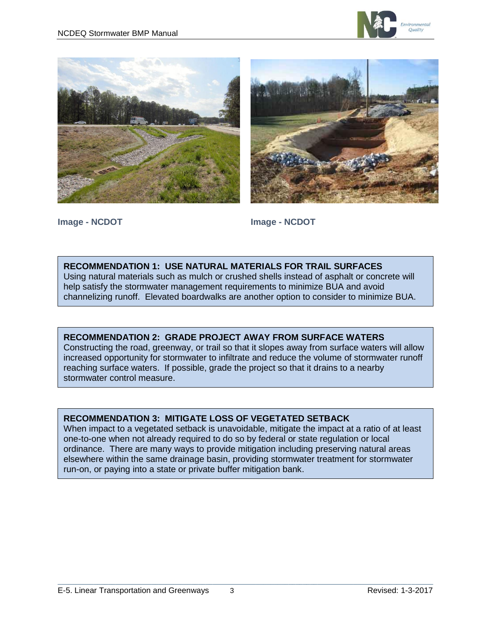





**Image - NCDOT Image - NCDOT**

### **RECOMMENDATION 1: USE NATURAL MATERIALS FOR TRAIL SURFACES**

Using natural materials such as mulch or crushed shells instead of asphalt or concrete will help satisfy the stormwater management requirements to minimize BUA and avoid channelizing runoff. Elevated boardwalks are another option to consider to minimize BUA.

# **RECOMMENDATION 2: GRADE PROJECT AWAY FROM SURFACE WATERS**

Constructing the road, greenway, or trail so that it slopes away from surface waters will allow increased opportunity for stormwater to infiltrate and reduce the volume of stormwater runoff reaching surface waters. If possible, grade the project so that it drains to a nearby stormwater control measure.

# **RECOMMENDATION 3: MITIGATE LOSS OF VEGETATED SETBACK**

When impact to a vegetated setback is unavoidable, mitigate the impact at a ratio of at least one-to-one when not already required to do so by federal or state regulation or local ordinance. There are many ways to provide mitigation including preserving natural areas elsewhere within the same drainage basin, providing stormwater treatment for stormwater run-on, or paying into a state or private buffer mitigation bank.

 $\mathcal{L}_\mathcal{L} = \{ \mathcal{L}_\mathcal{L} = \{ \mathcal{L}_\mathcal{L} = \{ \mathcal{L}_\mathcal{L} = \{ \mathcal{L}_\mathcal{L} = \{ \mathcal{L}_\mathcal{L} = \{ \mathcal{L}_\mathcal{L} = \{ \mathcal{L}_\mathcal{L} = \{ \mathcal{L}_\mathcal{L} = \{ \mathcal{L}_\mathcal{L} = \{ \mathcal{L}_\mathcal{L} = \{ \mathcal{L}_\mathcal{L} = \{ \mathcal{L}_\mathcal{L} = \{ \mathcal{L}_\mathcal{L} = \{ \mathcal{L}_\mathcal{$